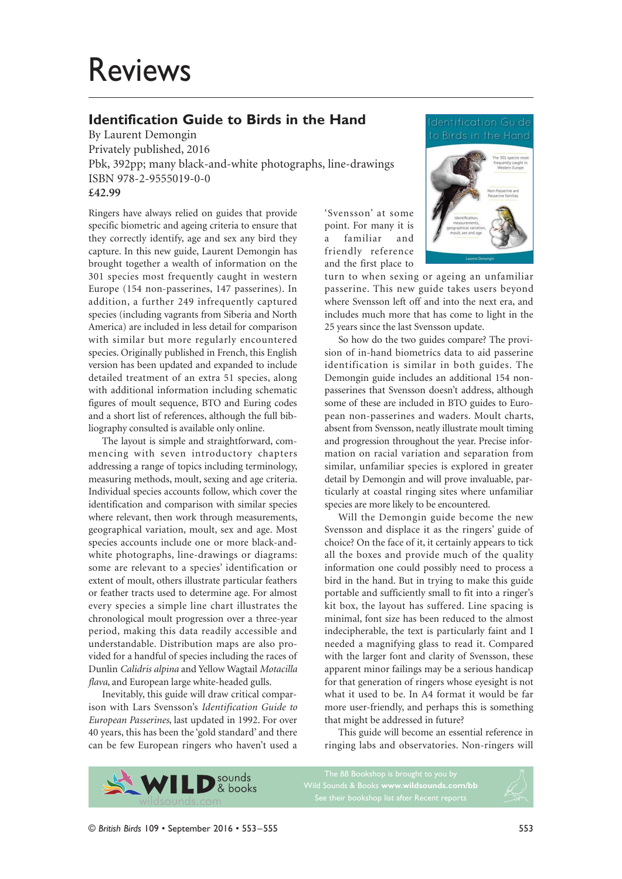# Reviews

## **Identification Guide to Birds in the Hand**

By Laurent Demongin Privately published, 2016 Pbk, 392pp; many black-and-white photographs, line-drawings ISBN 978-2-9555019-0-0 **£42.99**

Ringers have always relied on guides that provide specific biometric and ageing criteria to ensure that they correctly identify, age and sex any bird they capture. In this new guide, Laurent Demongin has brought together a wealth of information on the 301 species most frequently caught in western Europe (154 non-passerines, 147 passerines). In addition, a further 249 infrequently captured species (including vagrants from Siberia and North America) are included in less detail for comparison with similar but more regularly encountered species. Originally published in French, this English version has been updated and expanded to include detailed treatment of an extra 51 species, along with additional information including schematic figures of moult sequence, BTO and Euring codes and a short list of references, although the full bibliography consulted is available only online.

The layout is simple and straightforward, commencing with seven introductory chapters addressing a range of topics including terminology, measuring methods, moult, sexing and age criteria. Individual species accounts follow, which cover the identification and comparison with similar species where relevant, then work through measurements, geographical variation, moult, sex and age. Most species accounts include one or more black-andwhite photographs, line-drawings or diagrams: some are relevant to a species' identification or extent of moult, others illustrate particular feathers or feather tracts used to determine age. For almost every species a simple line chart illustrates the chronological moult progression over a three-year period, making this data readily accessible and understandable. Distribution maps are also provided for a handful of species including the races of Dunlin *Calidris alpina* and Yellow Wagtail *Motacilla flava*, and European large white-headed gulls.

Inevitably, this guide will draw critical comparison with Lars Svensson's *Identification Guide to European Passerines*, last updated in 1992. For over 40 years, this has been the 'gold standard' and there can be few European ringers who haven't used a 'Svensson' at some point. For many it is a familiar and friendly reference and the first place to



turn to when sexing or ageing an unfamiliar passerine. This new guide takes users beyond where Svensson left off and into the next era, and includes much more that has come to light in the 25 years since the last Svensson update.

So how do the two guides compare? The provision of in-hand biometrics data to aid passerine identification is similar in both guides. The Demongin guide includes an additional 154 nonpasserines that Svensson doesn't address, although some of these are included in BTO guides to European non-passerines and waders. Moult charts, absent from Svensson, neatly illustrate moult timing and progression throughout the year. Precise information on racial variation and separation from similar, unfamiliar species is explored in greater detail by Demongin and will prove invaluable, particularly at coastal ringing sites where unfamiliar species are more likely to be encountered.

Will the Demongin guide become the new Svensson and displace it as the ringers' guide of choice? On the face of it, it certainly appears to tick all the boxes and provide much of the quality information one could possibly need to process a bird in the hand. But in trying to make this guide portable and sufficiently small to fit into a ringer's kit box, the layout has suffered. Line spacing is minimal, font size has been reduced to the almost indecipherable, the text is particularly faint and I needed a magnifying glass to read it. Compared with the larger font and clarity of Svensson, these apparent minor failings may be a serious handicap for that generation of ringers whose eyesight is not what it used to be. In A4 format it would be far more user-friendly, and perhaps this is something that might be addressed in future?

This guide will become an essential reference in ringing labs and observatories. Non-ringers will



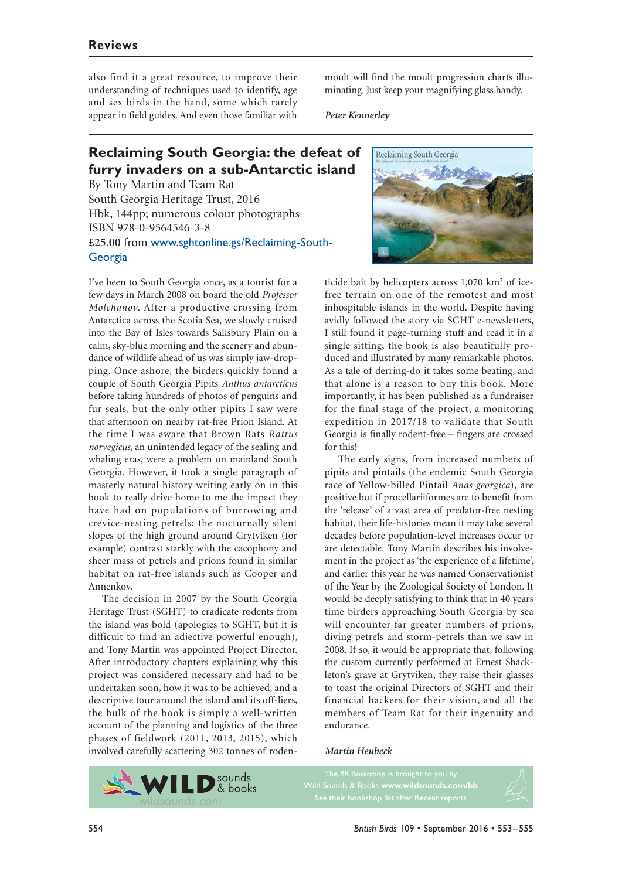## **Reviews**

also find it a great resource, to improve their understanding of techniques used to identify, age and sex birds in the hand, some which rarely appear in field guides. And even those familiar with

moult will find the moult progression charts illuminating. Just keep your magnifying glass handy.

*Peter Kennerley*

# **Reclaiming South Georgia: the defeat of furry invaders on a sub-Antarctic island**

By Tony Martin and Team Rat South Georgia Heritage Trust, 2016 Hbk, 144pp; numerous colour photographs ISBN 978-0-9564546-3-8 **£25.00** from www.sghtonline.gs/Reclaiming-South-Georgia

I've been to South Georgia once, as a tourist for a few days in March 2008 on board the old *Professor Molchanov*. After a productive crossing from Antarctica across the Scotia Sea, we slowly cruised into the Bay of Isles towards Salisbury Plain on a calm, sky-blue morning and the scenery and abundance of wildlife ahead of us was simply jaw-dropping. Once ashore, the birders quickly found a couple of South Georgia Pipits *Anthus antarcticus* before taking hundreds of photos of penguins and fur seals, but the only other pipits I saw were that afternoon on nearby rat-free Prion Island. At the time I was aware that Brown Rats *Rattus norvegicus*, an unintended legacy of the sealing and whaling eras, were a problem on mainland South Georgia. However, it took a single paragraph of masterly natural history writing early on in this book to really drive home to me the impact they have had on populations of burrowing and crevice-nesting petrels; the nocturnally silent slopes of the high ground around Grytviken (for example) contrast starkly with the cacophony and sheer mass of petrels and prions found in similar habitat on rat-free islands such as Cooper and Annenkov.

The decision in 2007 by the South Georgia Heritage Trust (SGHT) to eradicate rodents from the island was bold (apologies to SGHT, but it is difficult to find an adjective powerful enough), and Tony Martin was appointed Project Director. After introductory chapters explaining why this project was considered necessary and had to be undertaken soon, how it was to be achieved, and a descriptive tour around the island and its off-liers, the bulk of the book is simply a well-written account of the planning and logistics of the three phases of fieldwork (2011, 2013, 2015), which involved carefully scattering 302 tonnes of roden-





ticide bait by helicopters across 1,070 km2 of icefree terrain on one of the remotest and most inhospitable islands in the world. Despite having avidly followed the story via SGHT e-newsletters, I still found it page-turning stuff and read it in a single sitting; the book is also beautifully produced and illustrated by many remarkable photos. As a tale of derring-do it takes some beating, and that alone is a reason to buy this book. More importantly, it has been published as a fundraiser for the final stage of the project, a monitoring expedition in 2017/18 to validate that South Georgia is finally rodent-free – fingers are crossed for this!

The early signs, from increased numbers of pipits and pintails (the endemic South Georgia race of Yellow-billed Pintail *Anas georgica*), are positive but if procellariiformes are to benefit from the 'release' of a vast area of predator-free nesting habitat, their life-histories mean it may take several decades before population-level increases occur or are detectable. Tony Martin describes his involvement in the project as 'the experience of a lifetime', and earlier this year he was named Conservationist of the Year by the Zoological Society of London. It would be deeply satisfying to think that in 40 years time birders approaching South Georgia by sea will encounter far greater numbers of prions, diving petrels and storm-petrels than we saw in 2008. If so, it would be appropriate that, following the custom currently performed at Ernest Shackleton's grave at Grytviken, they raise their glasses to toast the original Directors of SGHT and their financial backers for their vision, and all the members of Team Rat for their ingenuity and endurance.

#### *Martin Heubeck*